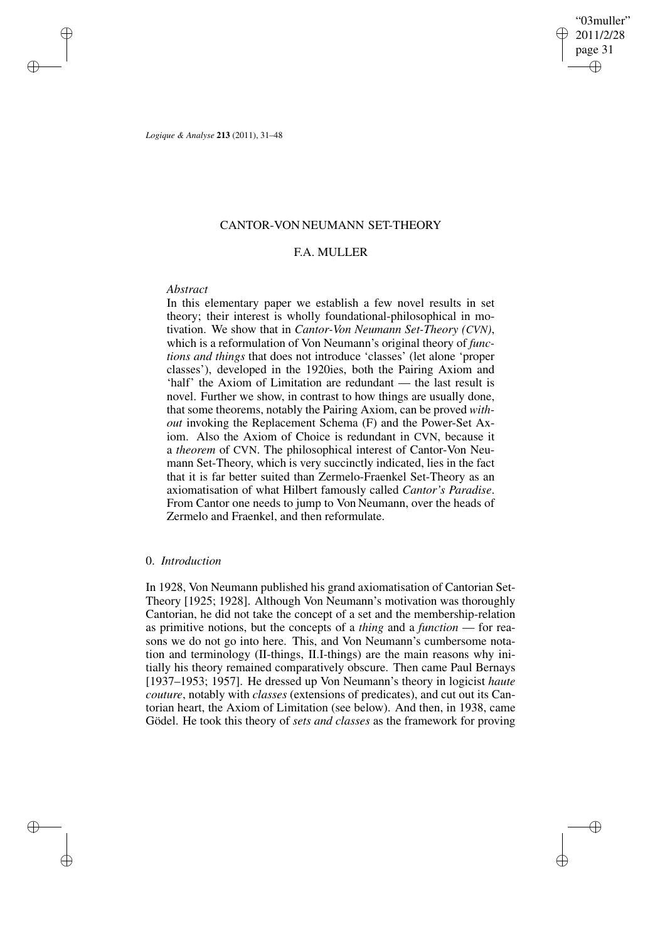✐

*Logique & Analyse* **213** (2011), 31–48

✐

✐

✐

✐

# CANTOR-VON NEUMANN SET-THEORY

## F.A. MULLER

## *Abstract*

In this elementary paper we establish a few novel results in set theory; their interest is wholly foundational-philosophical in motivation. We show that in *Cantor-Von Neumann Set-Theory (CVN)*, which is a reformulation of Von Neumann's original theory of *functions and things* that does not introduce 'classes' (let alone 'proper classes'), developed in the 1920ies, both the Pairing Axiom and 'half' the Axiom of Limitation are redundant — the last result is novel. Further we show, in contrast to how things are usually done, that some theorems, notably the Pairing Axiom, can be proved *without* invoking the Replacement Schema (F) and the Power-Set Axiom. Also the Axiom of Choice is redundant in CVN, because it a *theorem* of CVN. The philosophical interest of Cantor-Von Neumann Set-Theory, which is very succinctly indicated, lies in the fact that it is far better suited than Zermelo-Fraenkel Set-Theory as an axiomatisation of what Hilbert famously called *Cantor's Paradise*. From Cantor one needs to jump to Von Neumann, over the heads of Zermelo and Fraenkel, and then reformulate.

## 0. *Introduction*

In 1928, Von Neumann published his grand axiomatisation of Cantorian Set-Theory [1925; 1928]. Although Von Neumann's motivation was thoroughly Cantorian, he did not take the concept of a set and the membership-relation as primitive notions, but the concepts of a *thing* and a *function* — for reasons we do not go into here. This, and Von Neumann's cumbersome notation and terminology (II-things, II.I-things) are the main reasons why initially his theory remained comparatively obscure. Then came Paul Bernays [1937–1953; 1957]. He dressed up Von Neumann's theory in logicist *haute couture*, notably with *classes* (extensions of predicates), and cut out its Cantorian heart, the Axiom of Limitation (see below). And then, in 1938, came Gödel. He took this theory of *sets and classes* as the framework for proving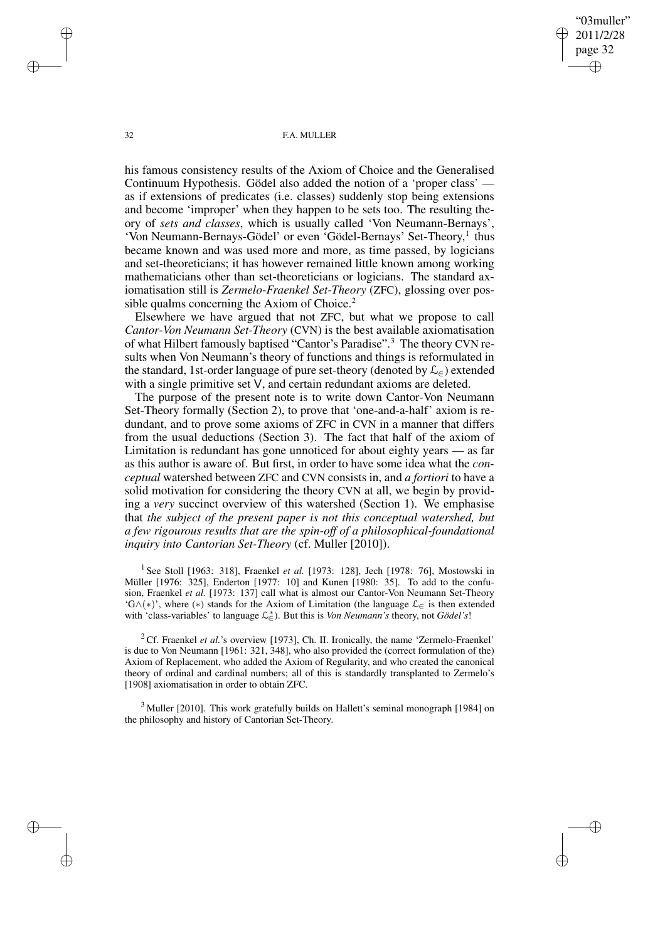"03muller" 2011/2/28 page 32 ✐ ✐

✐

✐

#### 32 F.A. MULLER

his famous consistency results of the Axiom of Choice and the Generalised Continuum Hypothesis. Gödel also added the notion of a 'proper class' as if extensions of predicates (i.e. classes) suddenly stop being extensions and become 'improper' when they happen to be sets too. The resulting theory of *sets and classes*, which is usually called 'Von Neumann-Bernays', 'Von Neumann-Bernays-Gödel' or even 'Gödel-Bernays' Set-Theory,<sup>1</sup> thus became known and was used more and more, as time passed, by logicians and set-theoreticians; it has however remained little known among working mathematicians other than set-theoreticians or logicians. The standard axiomatisation still is *Zermelo-Fraenkel Set-Theory* (ZFC), glossing over possible qualms concerning the Axiom of Choice.<sup>2</sup>

Elsewhere we have argued that not ZFC, but what we propose to call *Cantor-Von Neumann Set-Theory* (CVN) is the best available axiomatisation of what Hilbert famously baptised "Cantor's Paradise".<sup>3</sup> The theory CVN results when Von Neumann's theory of functions and things is reformulated in the standard, 1st-order language of pure set-theory (denoted by  $\mathcal{L}_{\epsilon}$ ) extended with a single primitive set V, and certain redundant axioms are deleted.

The purpose of the present note is to write down Cantor-Von Neumann Set-Theory formally (Section 2), to prove that 'one-and-a-half' axiom is redundant, and to prove some axioms of ZFC in CVN in a manner that differs from the usual deductions (Section 3). The fact that half of the axiom of Limitation is redundant has gone unnoticed for about eighty years — as far as this author is aware of. But first, in order to have some idea what the *conceptual* watershed between ZFC and CVN consists in, and *a fortiori* to have a solid motivation for considering the theory CVN at all, we begin by providing a *very* succinct overview of this watershed (Section 1). We emphasise that *the subject of the present paper is not this conceptual watershed, but a few rigourous results that are the spin-off of a philosophical-foundational inquiry into Cantorian Set-Theory* (cf. Muller [2010]).

1 See Stoll [1963: 318], Fraenkel *et al.* [1973: 128], Jech [1978: 76], Mostowski in Müller [1976: 325], Enderton [1977: 10] and Kunen [1980: 35]. To add to the confusion, Fraenkel *et al.* [1973: 137] call what is almost our Cantor-Von Neumann Set-Theory 'G∧(\*)', where (\*) stands for the Axiom of Limitation (the language  $\mathcal{L}_{\in}$  is then extended with 'class-variables' to language  $\mathcal{L}^*_{\infty}$ ). But this is *Von Neumann's* theory, not *Gödel's*!

<sup>2</sup> Cf. Fraenkel *et al.*'s overview [1973], Ch. II. Ironically, the name 'Zermelo-Fraenkel' is due to Von Neumann [1961: 321, 348], who also provided the (correct formulation of the) Axiom of Replacement, who added the Axiom of Regularity, and who created the canonical theory of ordinal and cardinal numbers; all of this is standardly transplanted to Zermelo's [1908] axiomatisation in order to obtain ZFC.

<sup>3</sup> Muller [2010]. This work gratefully builds on Hallett's seminal monograph [1984] on the philosophy and history of Cantorian Set-Theory.

✐

✐

✐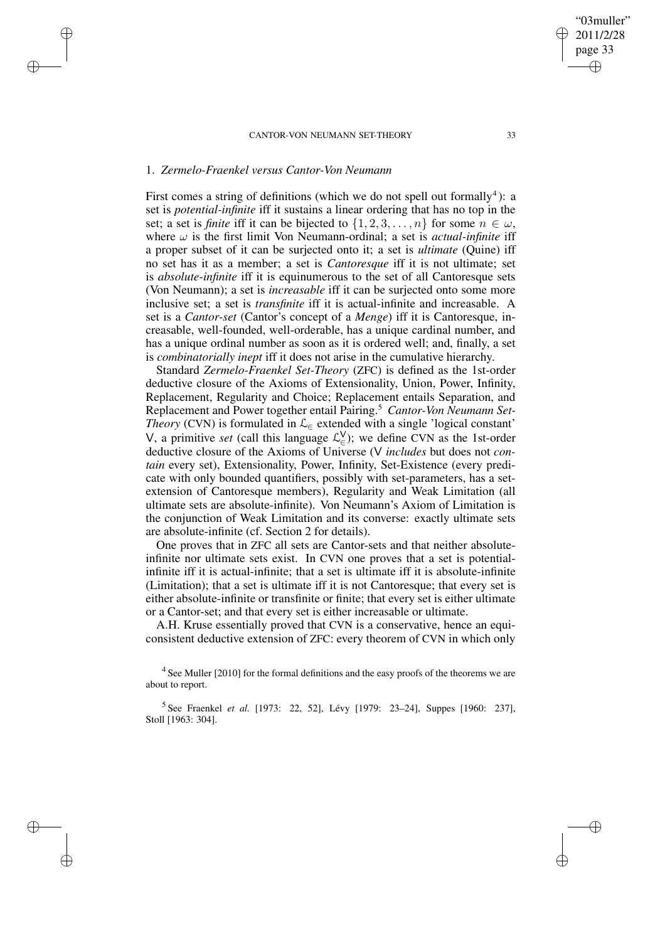# 1. *Zermelo-Fraenkel versus Cantor-Von Neumann*

✐

✐

✐

✐

First comes a string of definitions (which we do not spell out formally<sup>4</sup>): a set is *potential-infinite* iff it sustains a linear ordering that has no top in the set; a set is *finite* iff it can be bijected to  $\{1, 2, 3, \ldots, n\}$  for some  $n \in \omega$ , where  $\omega$  is the first limit Von Neumann-ordinal; a set is *actual-infinite* iff a proper subset of it can be surjected onto it; a set is *ultimate* (Quine) iff no set has it as a member; a set is *Cantoresque* iff it is not ultimate; set is *absolute-infinite* iff it is equinumerous to the set of all Cantoresque sets (Von Neumann); a set is *increasable* iff it can be surjected onto some more inclusive set; a set is *transfinite* iff it is actual-infinite and increasable. A set is a *Cantor-set* (Cantor's concept of a *Menge*) iff it is Cantoresque, increasable, well-founded, well-orderable, has a unique cardinal number, and has a unique ordinal number as soon as it is ordered well; and, finally, a set is *combinatorially inept* iff it does not arise in the cumulative hierarchy.

Standard *Zermelo-Fraenkel Set-Theory* (ZFC) is defined as the 1st-order deductive closure of the Axioms of Extensionality, Union, Power, Infinity, Replacement, Regularity and Choice; Replacement entails Separation, and Replacement and Power together entail Pairing.<sup>5</sup> *Cantor-Von Neumann Set-Theory* (CVN) is formulated in  $\mathcal{L}_{\in}$  extended with a single 'logical constant' V, a primitive *set* (call this language  $\mathcal{L}_{\epsilon}^{V}$ ); we define CVN as the 1st-order deductive closure of the Axioms of Universe (V *includes* but does not *contain* every set), Extensionality, Power, Infinity, Set-Existence (every predicate with only bounded quantifiers, possibly with set-parameters, has a setextension of Cantoresque members), Regularity and Weak Limitation (all ultimate sets are absolute-infinite). Von Neumann's Axiom of Limitation is the conjunction of Weak Limitation and its converse: exactly ultimate sets are absolute-infinite (cf. Section 2 for details).

One proves that in ZFC all sets are Cantor-sets and that neither absoluteinfinite nor ultimate sets exist. In CVN one proves that a set is potentialinfinite iff it is actual-infinite; that a set is ultimate iff it is absolute-infinite (Limitation); that a set is ultimate iff it is not Cantoresque; that every set is either absolute-infinite or transfinite or finite; that every set is either ultimate or a Cantor-set; and that every set is either increasable or ultimate.

A.H. Kruse essentially proved that CVN is a conservative, hence an equiconsistent deductive extension of ZFC: every theorem of CVN in which only

 $4$  See Muller [2010] for the formal definitions and the easy proofs of the theorems we are about to report.

5 See Fraenkel *et al.* [1973: 22, 52], Lévy [1979: 23–24], Suppes [1960: 237], Stoll [1963: 304].

"03muller" 2011/2/28 page 33

✐

✐

✐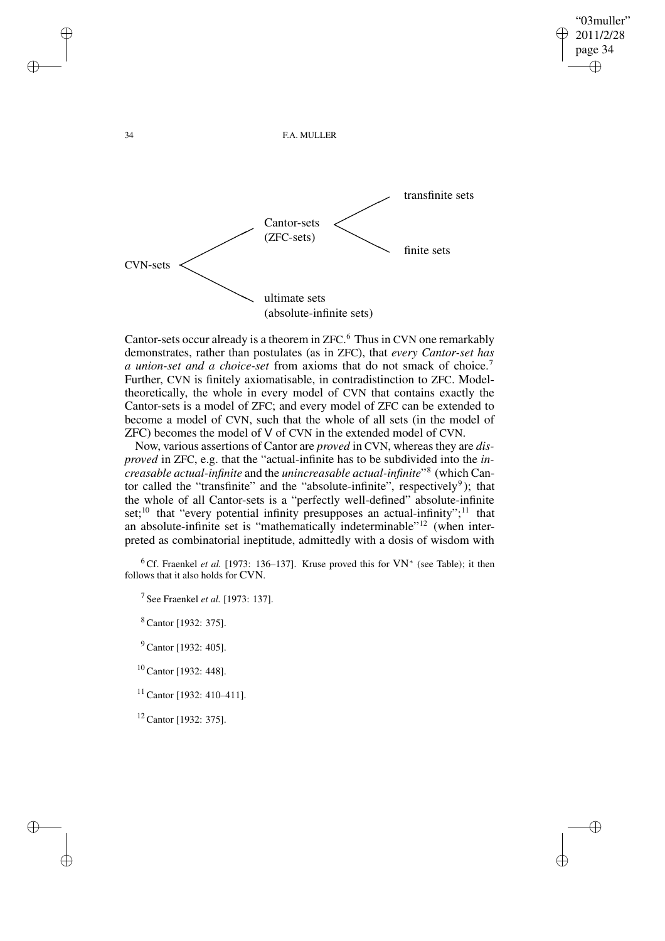✐

34 F.A. MULLER



Cantor-sets occur already is a theorem in ZFC. <sup>6</sup> Thus in CVN one remarkably demonstrates, rather than postulates (as in ZFC), that *every Cantor-set has a union-set and a choice-set* from axioms that do not smack of choice.<sup>7</sup> Further, CVN is finitely axiomatisable, in contradistinction to ZFC. Modeltheoretically, the whole in every model of CVN that contains exactly the Cantor-sets is a model of ZFC; and every model of ZFC can be extended to become a model of CVN, such that the whole of all sets (in the model of ZFC) becomes the model of V of CVN in the extended model of CVN.

Now, various assertions of Cantor are *proved* in CVN, whereas they are *disproved* in ZFC, e.g. that the "actual-infinite has to be subdivided into the *increasable actual-infinite* and the *unincreasable actual-infinite*" 8 (which Cantor called the "transfinite" and the "absolute-infinite", respectively<sup>9</sup>); that the whole of all Cantor-sets is a "perfectly well-defined" absolute-infinite set;<sup>10</sup> that "every potential infinity presupposes an actual-infinity";<sup>11</sup> that an absolute-infinite set is "mathematically indeterminable"<sup>12</sup> (when interpreted as combinatorial ineptitude, admittedly with a dosis of wisdom with

<sup>6</sup> Cf. Fraenkel *et al.* [1973: 136–137]. Kruse proved this for VN<sup>∗</sup> (see Table); it then follows that it also holds for CVN.

7 See Fraenkel *et al.* [1973: 137].

<sup>8</sup> Cantor [1932: 375].

<sup>9</sup> Cantor [1932: 405].

<sup>10</sup> Cantor [1932: 448].

<sup>11</sup> Cantor [1932: 410–411].

<sup>12</sup> Cantor [1932: 375].

✐

✐

✐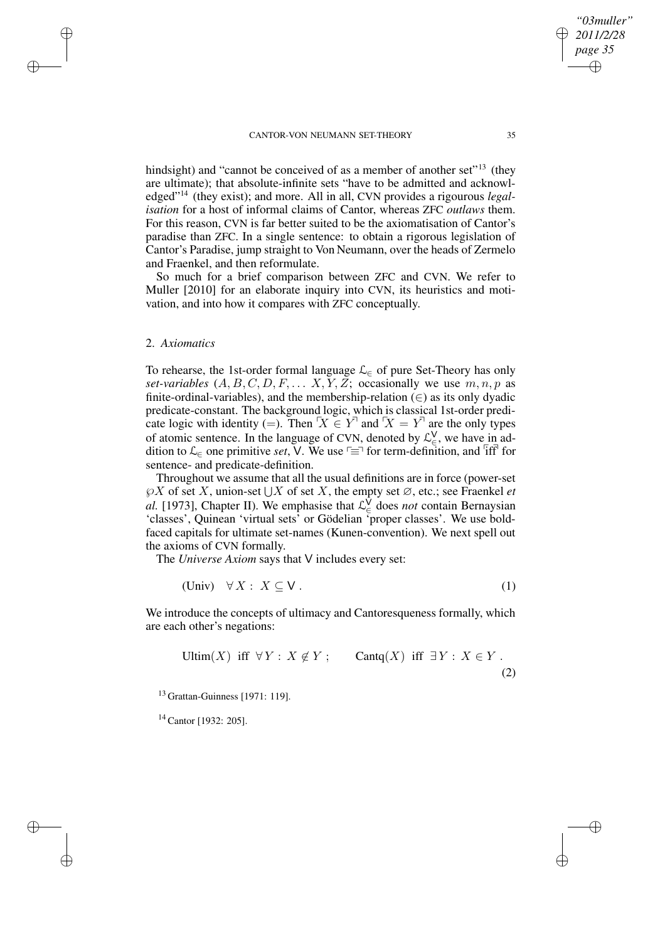hindsight) and "cannot be conceived of as a member of another set"<sup>13</sup> (they are ultimate); that absolute-infinite sets "have to be admitted and acknowledged"<sup>14</sup> (they exist); and more. All in all, CVN provides a rigourous *legalisation* for a host of informal claims of Cantor, whereas ZFC *outlaws* them. For this reason, CVN is far better suited to be the axiomatisation of Cantor's paradise than ZFC. In a single sentence: to obtain a rigorous legislation of Cantor's Paradise, jump straight to Von Neumann, over the heads of Zermelo and Fraenkel, and then reformulate.

So much for a brief comparison between ZFC and CVN. We refer to Muller [2010] for an elaborate inquiry into CVN, its heuristics and motivation, and into how it compares with ZFC conceptually.

## 2. *Axiomatics*

✐

✐

✐

✐

To rehearse, the 1st-order formal language  $\mathcal{L}_{\in}$  of pure Set-Theory has only *set-variables*  $(A, B, C, D, F, \ldots X, Y, Z;$  occasionally we use  $m, n, p$  as finite-ordinal-variables), and the membership-relation  $(\in)$  as its only dyadic predicate-constant. The background logic, which is classical 1st-order predicate logic with identity (=). Then  $X \in Y$  and  $X = Y$  are the only types of atomic sentence. In the language of CVN, denoted by  $\mathcal{L}_{\epsilon}^{\vee}$ , we have in addition to  $\mathcal{L}_{\in}$  one primitive *set*, V. We use  $\Gamma \equiv \Gamma$  for term-definition, and  $\Gamma$ iff<sup> $\Gamma$ </sup> for sentence- and predicate-definition.

Throughout we assume that all the usual definitions are in force (power-set  $\mathcal{P}X$  of set X, union-set  $\bigcup X$  of set X, the empty set  $\emptyset$ , etc.; see Fraenkel *et al.* [1973], Chapter II). We emphasise that  $\mathcal{L}_{\epsilon}^{\check{V}}$  does *not* contain Bernaysian 'classes', Quinean 'virtual sets' or Gödelian 'proper classes'. We use boldfaced capitals for ultimate set-names (Kunen-convention). We next spell out the axioms of CVN formally.

The *Universe Axiom* says that V includes every set:

$$
(Univ) \quad \forall X: X \subseteq V. \tag{1}
$$

We introduce the concepts of ultimacy and Cantoresqueness formally, which are each other's negations:

$$
\text{Ultim}(X) \text{ iff } \forall Y: X \notin Y; \qquad \text{Contq}(X) \text{ iff } \exists Y: X \in Y. \tag{2}
$$

<sup>13</sup> Grattan-Guinness [1971: 119].

<sup>14</sup> Cantor [1932: 205].

*"03muller" 2011/2/28 page 35*

✐

✐

✐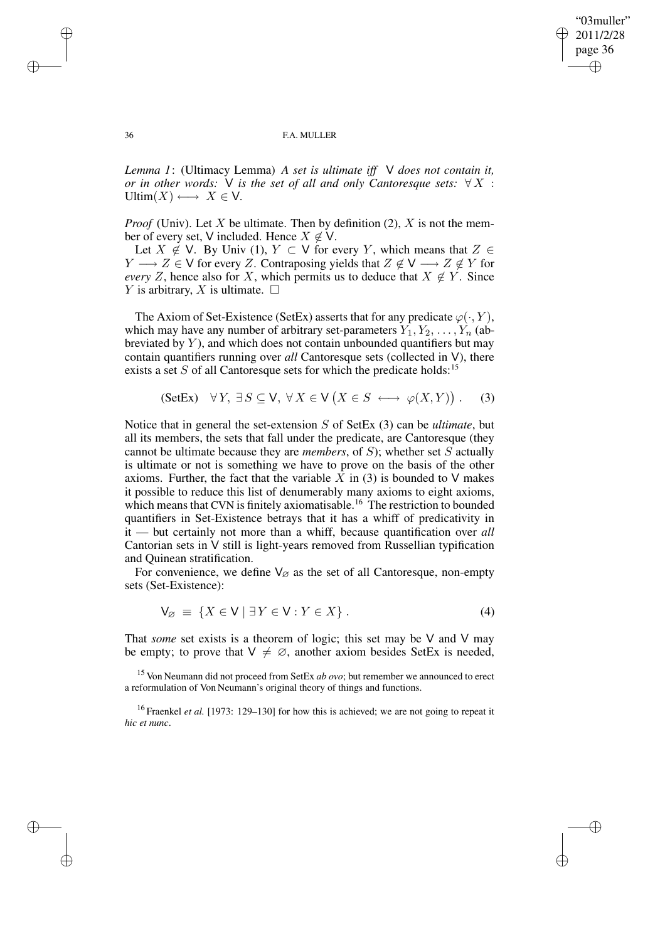✐

#### 36 F.A. MULLER

*Lemma 1*: (Ultimacy Lemma) *A set is ultimate iff* V *does not contain it, or* in other words:  $V$  is the set of all and only Cantoresque sets:  $\forall X$  : Ultim $(X) \longleftrightarrow X \in V$ .

*Proof* (Univ). Let X be ultimate. Then by definition  $(2)$ , X is not the member of every set, V included. Hence  $X \notin V$ .

Let  $X \notin V$ . By Univ (1),  $Y \subset V$  for every Y, which means that  $Z \in$  $Y \longrightarrow Z \in V$  for every Z. Contraposing yields that  $Z \notin V \longrightarrow Z \notin Y$  for *every* Z, hence also for X, which permits us to deduce that  $X \notin Y$ . Since Y is arbitrary, X is ultimate.  $\Box$ 

The Axiom of Set-Existence (SetEx) asserts that for any predicate  $\varphi(\cdot, Y)$ , which may have any number of arbitrary set-parameters  $Y_1, Y_2, \ldots, Y_n$  (abbreviated by  $Y$ ), and which does not contain unbounded quantifiers but may contain quantifiers running over *all* Cantoresque sets (collected in V), there exists a set  $S$  of all Cantoresque sets for which the predicate holds:<sup>15</sup>

$$
(\text{SetEx}) \quad \forall Y, \; \exists S \subseteq \mathsf{V}, \; \forall X \in \mathsf{V} \left( X \in S \iff \varphi(X, Y) \right). \tag{3}
$$

Notice that in general the set-extension S of SetEx (3) can be *ultimate*, but all its members, the sets that fall under the predicate, are Cantoresque (they cannot be ultimate because they are *members*, of S); whether set S actually is ultimate or not is something we have to prove on the basis of the other axioms. Further, the fact that the variable  $X$  in (3) is bounded to  $V$  makes it possible to reduce this list of denumerably many axioms to eight axioms, which means that CVN is finitely axiomatisable.<sup>16</sup> The restriction to bounded quantifiers in Set-Existence betrays that it has a whiff of predicativity in it — but certainly not more than a whiff, because quantification over *all* Cantorian sets in V still is light-years removed from Russellian typification and Quinean stratification.

For convenience, we define  $V_{\varnothing}$  as the set of all Cantoresque, non-empty sets (Set-Existence):

$$
V_{\varnothing} \equiv \{ X \in V \mid \exists Y \in V : Y \in X \} . \tag{4}
$$

That *some* set exists is a theorem of logic; this set may be V and V may be empty; to prove that  $V \neq \emptyset$ , another axiom besides SetEx is needed,

<sup>15</sup> Von Neumann did not proceed from SetEx *ab ovo*; but remember we announced to erect a reformulation of Von Neumann's original theory of things and functions.

<sup>16</sup> Fraenkel *et al.* [1973: 129–130] for how this is achieved; we are not going to repeat it *hic et nunc*.

✐

✐

✐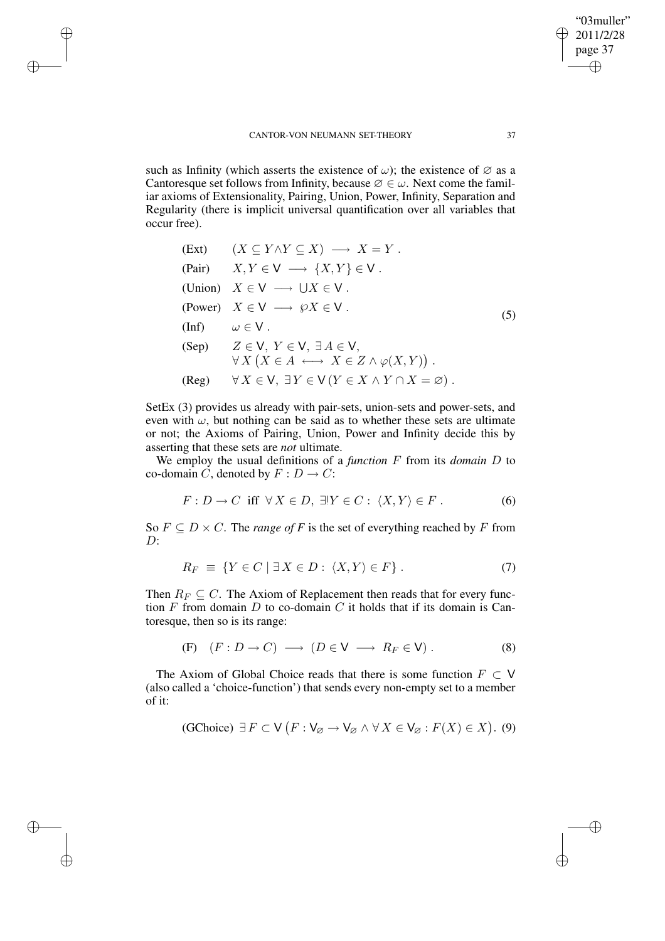✐

✐

✐

such as Infinity (which asserts the existence of  $\omega$ ); the existence of  $\varnothing$  as a Cantoresque set follows from Infinity, because  $\emptyset \in \omega$ . Next come the familiar axioms of Extensionality, Pairing, Union, Power, Infinity, Separation and Regularity (there is implicit universal quantification over all variables that occur free).

|                                      | (Ext) $(X \subseteq Y \land Y \subseteq X) \longrightarrow X = Y$ .                                                       |     |
|--------------------------------------|---------------------------------------------------------------------------------------------------------------------------|-----|
|                                      | (Pair) $X, Y \in V \longrightarrow \{X, Y\} \in V$ .                                                                      |     |
|                                      | (Union) $X \in V \longrightarrow \bigcup X \in V$ .                                                                       |     |
|                                      | (Power) $X \in V \longrightarrow \wp X \in V$ .                                                                           | (5) |
| $(\text{Inf}) \qquad \omega \in V$ . |                                                                                                                           |     |
|                                      | (Sep) $Z \in V$ , $Y \in V$ , $\exists A \in V$ ,<br>$\forall X \left( X \in A \iff X \in Z \land \varphi(X, Y) \right).$ |     |
|                                      | $(Reg)$ $\forall X \in V, \exists Y \in V (Y \in X \wedge Y \cap X = \emptyset).$                                         |     |

SetEx (3) provides us already with pair-sets, union-sets and power-sets, and even with  $\omega$ , but nothing can be said as to whether these sets are ultimate or not; the Axioms of Pairing, Union, Power and Infinity decide this by asserting that these sets are *not* ultimate.

We employ the usual definitions of a *function* F from its *domain* D to co-domain C, denoted by  $F : D \to C$ :

$$
F: D \to C \text{ iff } \forall X \in D, \exists Y \in C: \langle X, Y \rangle \in F. \tag{6}
$$

So  $F \subseteq D \times C$ . The *range* of F is the set of everything reached by F from D:

$$
R_F \equiv \{ Y \in C \mid \exists X \in D : \langle X, Y \rangle \in F \} . \tag{7}
$$

Then  $R_F \subseteq C$ . The Axiom of Replacement then reads that for every function  $F$  from domain  $D$  to co-domain  $C$  it holds that if its domain is Cantoresque, then so is its range:

(F) 
$$
(F: D \to C) \longrightarrow (D \in V \longrightarrow R_F \in V)
$$
. (8)

The Axiom of Global Choice reads that there is some function  $F \subset V$ (also called a 'choice-function') that sends every non-empty set to a member of it:

(GChoice) 
$$
\exists F \subset V (F : V_{\varnothing} \to V_{\varnothing} \land \forall X \in V_{\varnothing} : F(X) \in X).
$$
 (9)

"03muller" 2011/2/28 page 37

✐

✐

✐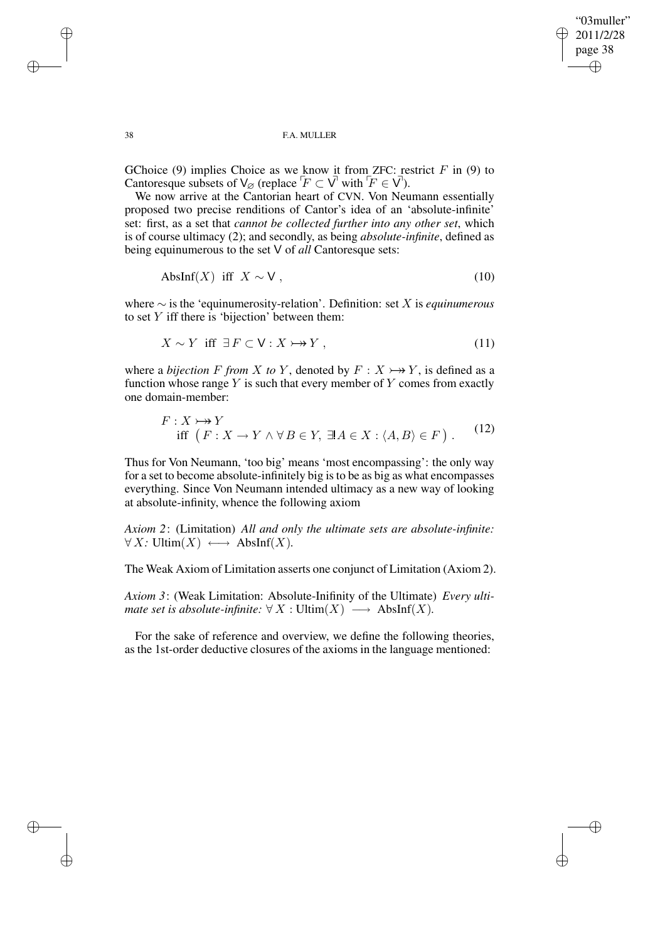✐

#### 38 F.A. MULLER

GChoice (9) implies Choice as we know it from ZFC: restrict  $F$  in (9) to Cantoresque subsets of  $\bigvee_{\emptyset}$  (replace  $\overline{F} \subset \overline{V}$  with  $\overline{F} \in \overline{V}$ ).

We now arrive at the Cantorian heart of CVN. Von Neumann essentially proposed two precise renditions of Cantor's idea of an 'absolute-infinite' set: first, as a set that *cannot be collected further into any other set*, which is of course ultimacy (2); and secondly, as being *absolute-infinite*, defined as being equinumerous to the set V of *all* Cantoresque sets:

$$
AbsInf(X) \text{ iff } X \sim V , \qquad (10)
$$

where ∼ is the 'equinumerosity-relation'. Definition: set X is *equinumerous* to set  $Y$  iff there is 'bijection' between them:

$$
X \sim Y \text{ iff } \exists F \subset \mathsf{V} : X \rightarrow Y , \tag{11}
$$

where a *bijection* F from X to Y, denoted by  $F: X \rightarrow Y$ , is defined as a function whose range  $Y$  is such that every member of  $Y$  comes from exactly one domain-member:

$$
F: X \rightarrow Y
$$
  
iff  $(F: X \rightarrow Y \land \forall B \in Y, \exists A \in X : \langle A, B \rangle \in F)$ . (12)

Thus for Von Neumann, 'too big' means 'most encompassing': the only way for a set to become absolute-infinitely big isto be as big as what encompasses everything. Since Von Neumann intended ultimacy as a new way of looking at absolute-infinity, whence the following axiom

*Axiom 2*: (Limitation) *All and only the ultimate sets are absolute-infinite:*  $\forall X: \text{Ultim}(X) \longleftrightarrow \text{AbsInf}(X).$ 

The Weak Axiom of Limitation asserts one conjunct of Limitation (Axiom 2).

*Axiom 3*: (Weak Limitation: Absolute-Inifinity of the Ultimate) *Every ultimate set is absolute-infinite:*  $\forall X : \text{Ultim}(X) \longrightarrow \text{AbsInf}(X)$ *.* 

For the sake of reference and overview, we define the following theories, as the 1st-order deductive closures of the axioms in the language mentioned:

✐

✐

✐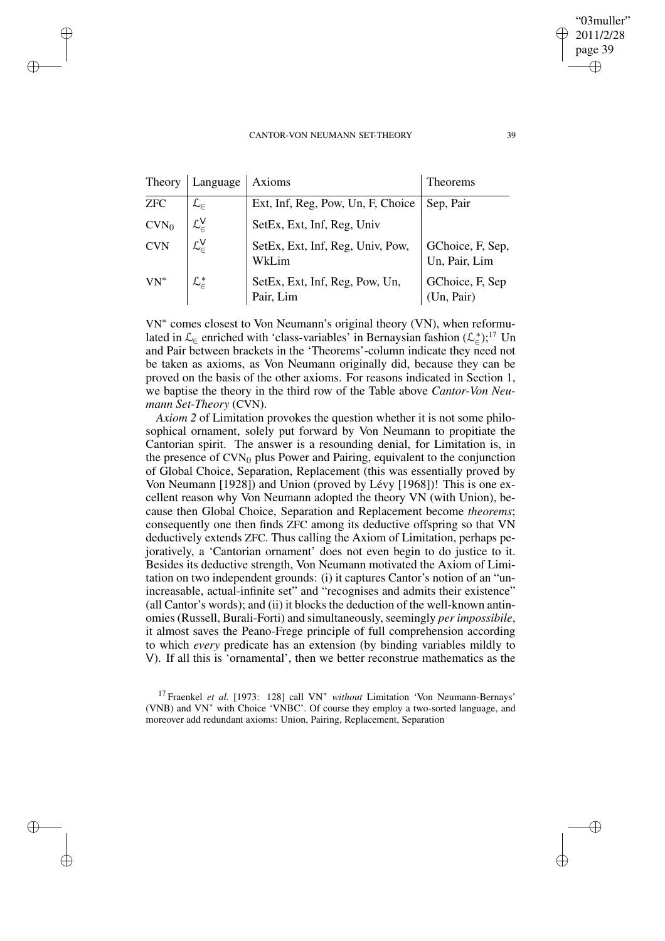✐

✐

✐

✐

|                  | Theory   Language   Axioms       |                                             | Theorems                          |
|------------------|----------------------------------|---------------------------------------------|-----------------------------------|
| <b>ZFC</b>       |                                  | Ext, Inf, Reg, Pow, Un, F, Choice           | Sep, Pair                         |
| CVN <sub>0</sub> | $\mathcal{L}_{\in}^{\mathsf{V}}$ | SetEx, Ext, Inf, Reg, Univ                  |                                   |
| <b>CVN</b>       | $\mathcal{L}_{c}^{V}$            | SetEx, Ext, Inf, Reg, Univ, Pow,<br>WkLim   | GChoice, F, Sep,<br>Un, Pair, Lim |
| $VN^*$           |                                  | SetEx, Ext, Inf, Reg, Pow, Un,<br>Pair, Lim | GChoice, F, Sep<br>(Un, Pair)     |

VN<sup>∗</sup> comes closest to Von Neumann's original theory (VN), when reformulated in  $\mathcal{L}_{\in}$  enriched with 'class-variables' in Bernaysian fashion  $(\mathcal{L}_{\in}^{*})$ ;<sup>17</sup> Un and Pair between brackets in the 'Theorems'-column indicate they need not be taken as axioms, as Von Neumann originally did, because they can be proved on the basis of the other axioms. For reasons indicated in Section 1, we baptise the theory in the third row of the Table above *Cantor-Von Neumann Set-Theory* (CVN).

*Axiom 2* of Limitation provokes the question whether it is not some philosophical ornament, solely put forward by Von Neumann to propitiate the Cantorian spirit. The answer is a resounding denial, for Limitation is, in the presence of  $CVN_0$  plus Power and Pairing, equivalent to the conjunction of Global Choice, Separation, Replacement (this was essentially proved by Von Neumann [1928]) and Union (proved by Lévy [1968])! This is one excellent reason why Von Neumann adopted the theory VN (with Union), because then Global Choice, Separation and Replacement become *theorems*; consequently one then finds ZFC among its deductive offspring so that VN deductively extends ZFC. Thus calling the Axiom of Limitation, perhaps pejoratively, a 'Cantorian ornament' does not even begin to do justice to it. Besides its deductive strength, Von Neumann motivated the Axiom of Limitation on two independent grounds: (i) it captures Cantor's notion of an "unincreasable, actual-infinite set" and "recognises and admits their existence" (all Cantor's words); and (ii) it blocks the deduction of the well-known antinomies (Russell, Burali-Forti) and simultaneously, seemingly *per impossibile*, it almost saves the Peano-Frege principle of full comprehension according to which *every* predicate has an extension (by binding variables mildly to V). If all this is 'ornamental', then we better reconstrue mathematics as the

<sup>17</sup> Fraenkel *et al.* [1973: 128] call VN<sup>∗</sup> *without* Limitation 'Von Neumann-Bernays' (VNB) and VN<sup>∗</sup> with Choice 'VNBC'. Of course they employ a two-sorted language, and moreover add redundant axioms: Union, Pairing, Replacement, Separation

"03muller" 2011/2/28 page 39

✐

✐

✐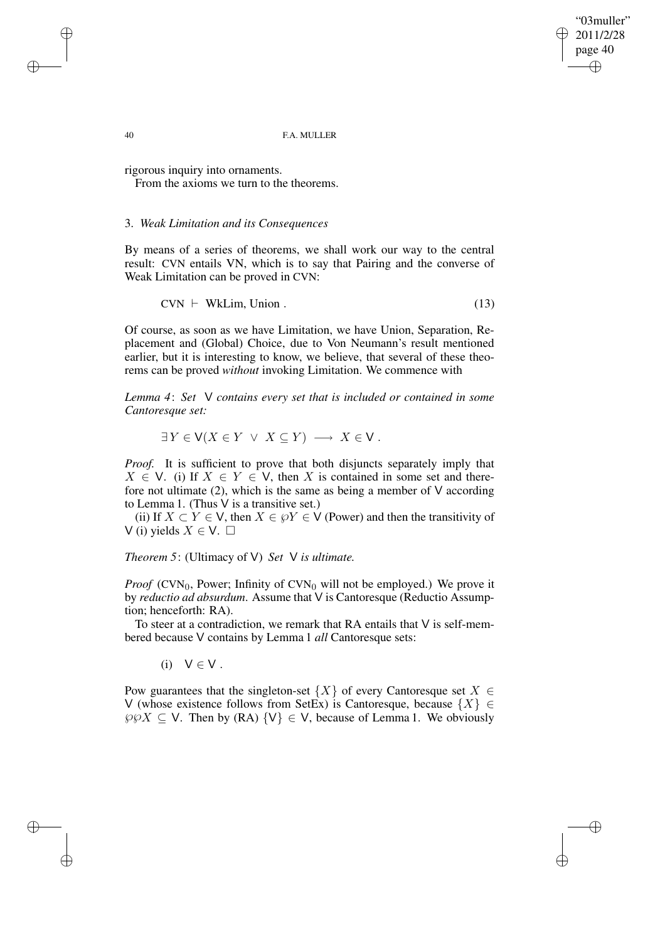"03muller" 2011/2/28 page 40 ✐ ✐

✐

✐

40 F.A. MULLER

rigorous inquiry into ornaments.

From the axioms we turn to the theorems.

## 3. *Weak Limitation and its Consequences*

By means of a series of theorems, we shall work our way to the central result: CVN entails VN, which is to say that Pairing and the converse of Weak Limitation can be proved in CVN:

$$
CVN \vdash \text{WkLim, Union}. \tag{13}
$$

Of course, as soon as we have Limitation, we have Union, Separation, Replacement and (Global) Choice, due to Von Neumann's result mentioned earlier, but it is interesting to know, we believe, that several of these theorems can be proved *without* invoking Limitation. We commence with

*Lemma 4*: *Set* V *contains every set that is included or contained in some Cantoresque set:*

 $\exists Y \in V(X \in Y \lor X \subseteq Y) \longrightarrow X \in V$ .

*Proof.* It is sufficient to prove that both disjuncts separately imply that  $X \in V$ . (i) If  $X \in Y \in V$ , then X is contained in some set and therefore not ultimate  $(2)$ , which is the same as being a member of V according to Lemma 1. (Thus V is a transitive set.)

(ii) If  $X \subset Y \in V$ , then  $X \in \mathcal{P}Y \in V$  (Power) and then the transitivity of V (i) yields  $X \in V$ .  $\Box$ 

*Theorem 5*: (Ultimacy of V) *Set* V *is ultimate.*

*Proof* (CVN<sub>0</sub>, Power; Infinity of CVN<sub>0</sub> will not be employed.) We prove it by *reductio ad absurdum*. Assume that V is Cantoresque (Reductio Assumption; henceforth: RA).

To steer at a contradiction, we remark that RA entails that V is self-membered because V contains by Lemma 1 *all* Cantoresque sets:

(i)  $V \in V$ .

Pow guarantees that the singleton-set  $\{X\}$  of every Cantoresque set  $X \in$ V (whose existence follows from SetEx) is Cantoresque, because  $\{X\} \in$  $\wp \wp X \subseteq V$ . Then by (RA)  $\{V\} \in V$ , because of Lemma 1. We obviously

✐

✐

✐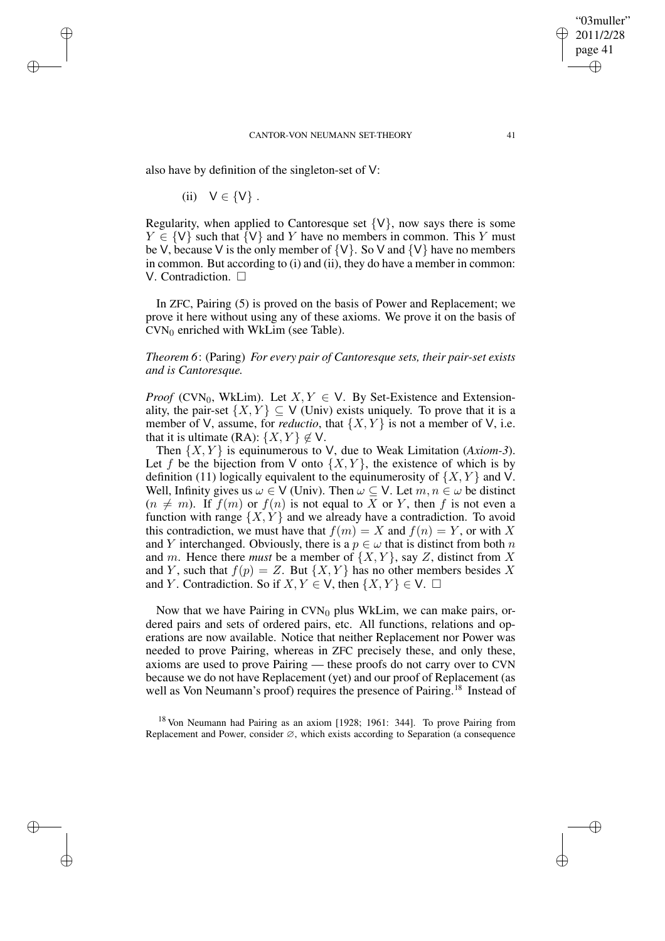also have by definition of the singleton-set of V:

(ii) 
$$
V \in \{V\}
$$
.

✐

✐

✐

✐

Regularity, when applied to Cantoresque set  $\{V\}$ , now says there is some  $Y \in \{V\}$  such that  $\{V\}$  and Y have no members in common. This Y must be V, because V is the only member of  $\{V\}$ . So V and  $\{V\}$  have no members in common. But according to (i) and (ii), they do have a member in common: V. Contradiction.  $\square$ 

In ZFC, Pairing (5) is proved on the basis of Power and Replacement; we prove it here without using any of these axioms. We prove it on the basis of  $CVN<sub>0</sub>$  enriched with WkLim (see Table).

*Theorem 6*: (Paring) *For every pair of Cantoresque sets, their pair-set exists and is Cantoresque.*

*Proof* (CVN<sub>0</sub>, WkLim). Let  $X, Y \in V$ . By Set-Existence and Extensionality, the pair-set  $\{X, Y\} \subset V$  (Univ) exists uniquely. To prove that it is a member of V, assume, for *reductio*, that  $\{X, Y\}$  is not a member of V, i.e. that it is ultimate (RA):  $\{X, Y\} \notin V$ .

Then  $\{X, Y\}$  is equinumerous to V, due to Weak Limitation (*Axiom-3*). Let f be the bijection from V onto  $\{X, Y\}$ , the existence of which is by definition (11) logically equivalent to the equinumerosity of  $\{X, Y\}$  and V. Well, Infinity gives us  $\omega \in V$  (Univ). Then  $\omega \subseteq V$ . Let  $m, n \in \omega$  be distinct  $(n \neq m)$ . If  $f(m)$  or  $f(n)$  is not equal to X or Y, then f is not even a function with range  $\{X, Y\}$  and we already have a contradiction. To avoid this contradiction, we must have that  $f(m) = X$  and  $f(n) = Y$ , or with X and Y interchanged. Obviously, there is a  $p \in \omega$  that is distinct from both n and m. Hence there *must* be a member of  $\{X, Y\}$ , say Z, distinct from X and Y, such that  $f(p) = Z$ . But  $\{X, Y\}$  has no other members besides X and Y. Contradiction. So if  $X, Y \in V$ , then  $\{X, Y\} \in V$ .  $\Box$ 

Now that we have Pairing in  $CVN_0$  plus WkLim, we can make pairs, ordered pairs and sets of ordered pairs, etc. All functions, relations and operations are now available. Notice that neither Replacement nor Power was needed to prove Pairing, whereas in ZFC precisely these, and only these, axioms are used to prove Pairing — these proofs do not carry over to CVN because we do not have Replacement (yet) and our proof of Replacement (as well as Von Neumann's proof) requires the presence of Pairing.<sup>18</sup> Instead of

<sup>18</sup> Von Neumann had Pairing as an axiom [1928; 1961: 344]. To prove Pairing from Replacement and Power, consider ∅, which exists according to Separation (a consequence

"03muller" 2011/2/28 page 41

✐

✐

✐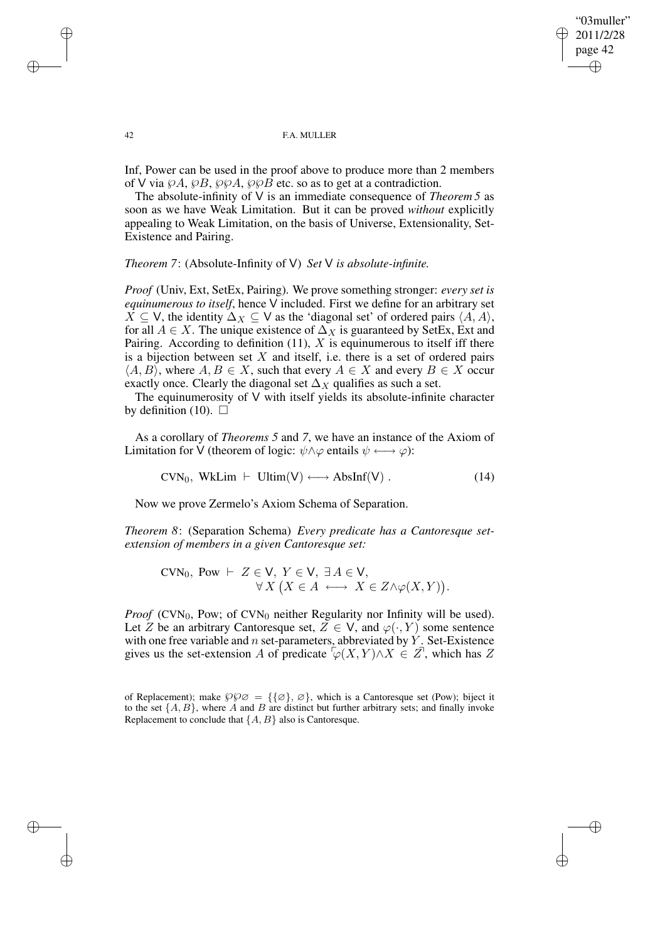✐

#### 42 F.A. MULLER

Inf, Power can be used in the proof above to produce more than 2 members of V via  $\mathcal{P}A$ ,  $\mathcal{P}B$ ,  $\mathcal{P}\mathcal{P}A$ ,  $\mathcal{P}\mathcal{P}B$  etc. so as to get at a contradiction.

The absolute-infinity of V is an immediate consequence of *Theorem 5* as soon as we have Weak Limitation. But it can be proved *without* explicitly appealing to Weak Limitation, on the basis of Universe, Extensionality, Set-Existence and Pairing.

*Theorem 7*: (Absolute-Infinity of V) *Set* V *is absolute-infinite.*

*Proof* (Univ, Ext, SetEx, Pairing). We prove something stronger: *every set is equinumerous to itself*, hence V included. First we define for an arbitrary set  $X \subseteq V$ , the identity  $\Delta_X \subseteq V$  as the 'diagonal set' of ordered pairs  $\langle A, A \rangle$ , for all  $A \in X$ . The unique existence of  $\Delta_X$  is guaranteed by SetEx, Ext and Pairing. According to definition  $(11)$ , X is equinumerous to itself iff there is a bijection between set  $X$  and itself, i.e. there is a set of ordered pairs  $\langle A, B \rangle$ , where  $A, B \in X$ , such that every  $A \in X$  and every  $B \in X$  occur exactly once. Clearly the diagonal set  $\Delta_X$  qualifies as such a set.

The equinumerosity of V with itself yields its absolute-infinite character by definition (10).  $\Box$ 

As a corollary of *Theorems 5* and *7*, we have an instance of the Axiom of Limitation for V (theorem of logic:  $\psi \land \varphi$  entails  $\psi \longleftrightarrow \varphi$ ):

 $CVN_0$ , WkLim  $\vdash$  Ultim(V)  $\longleftrightarrow$  AbsInf(V) . (14)

Now we prove Zermelo's Axiom Schema of Separation.

*Theorem 8*: (Separation Schema) *Every predicate has a Cantoresque setextension of members in a given Cantoresque set:*

$$
CVN_0, \text{ Pow } \vdash Z \in V, \ Y \in V, \ \exists A \in V, \forall X \ (X \in A \longleftrightarrow X \in Z \land \varphi(X, Y)).
$$

*Proof* (CVN<sub>0</sub>, Pow; of CVN<sub>0</sub> neither Regularity nor Infinity will be used). Let Z be an arbitrary Cantoresque set,  $Z \in V$ , and  $\varphi(\cdot, Y)$  some sentence with one free variable and  $n$  set-parameters, abbreviated by  $\dot{Y}$ . Set-Existence gives us the set-extension A of predicate  $\sqrt{\varphi(X, Y)} \wedge X \in \mathbb{Z}$ , which has Z

✐

✐

✐

of Replacement); make  $\wp \varphi \varnothing = {\{\varnothing\}}, \varnothing$ , which is a Cantoresque set (Pow); biject it to the set  $\{A, B\}$ , where A and B are distinct but further arbitrary sets; and finally invoke Replacement to conclude that  $\{A, B\}$  also is Cantoresque.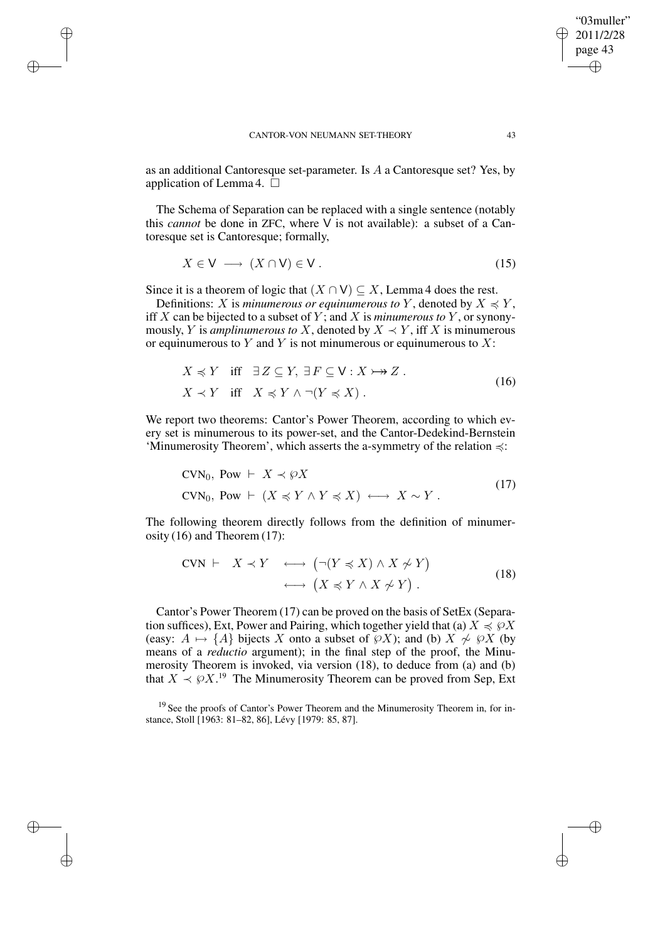✐

✐

✐

as an additional Cantoresque set-parameter. Is A a Cantoresque set? Yes, by application of Lemma 4.  $\square$ 

The Schema of Separation can be replaced with a single sentence (notably this *cannot* be done in ZFC, where V is not available): a subset of a Cantoresque set is Cantoresque; formally,

$$
X \in V \longrightarrow (X \cap V) \in V. \tag{15}
$$

Since it is a theorem of logic that  $(X \cap V) \subseteq X$ , Lemma 4 does the rest.

Definitions: X is *minumerous or equinumerous to* Y, denoted by  $X \preccurlyeq Y$ , iff X can be bijected to a subset of Y ; and X is *minumerous to* Y , or synonymously, Y is *amplinumerous to* X, denoted by  $X \prec Y$ , iff X is minumerous or equinumerous to  $Y$  and  $Y$  is not minumerous or equinumerous to  $X$ :

$$
X \preccurlyeq Y \quad \text{iff} \quad \exists Z \subseteq Y, \, \exists F \subseteq \mathsf{V} : X \rightarrowtail Z.
$$
\n
$$
X \prec Y \quad \text{iff} \quad X \preccurlyeq Y \land \neg(Y \preccurlyeq X). \tag{16}
$$

We report two theorems: Cantor's Power Theorem, according to which every set is minumerous to its power-set, and the Cantor-Dedekind-Bernstein 'Minumerosity Theorem', which asserts the a-symmetry of the relation  $\preccurlyeq$ :

$$
CVN_0, \text{Pow} \vdash X \prec \wp X
$$
  
\n
$$
CVN_0, \text{Pow} \vdash (X \preccurlyeq Y \land Y \preccurlyeq X) \longleftrightarrow X \sim Y.
$$
\n<sup>(17)</sup>

The following theorem directly follows from the definition of minumerosity (16) and Theorem (17):

$$
CVN \vdash X \prec Y \iff (\neg(Y \preccurlyeq X) \land X \not\sim Y) \n\longleftrightarrow (X \preccurlyeq Y \land X \not\sim Y).
$$
\n(18)

Cantor's Power Theorem (17) can be proved on the basis of SetEx (Separation suffices), Ext, Power and Pairing, which together yield that (a)  $X \preccurlyeq \varphi X$ (easy:  $A \mapsto \{A\}$  bijects X onto a subset of  $\wp X$ ); and (b)  $X \not\sim \wp X$  (by means of a *reductio* argument); in the final step of the proof, the Minumerosity Theorem is invoked, via version (18), to deduce from (a) and (b) that  $X \prec \varphi X$ .<sup>19</sup> The Minumerosity Theorem can be proved from Sep, Ext

<sup>19</sup> See the proofs of Cantor's Power Theorem and the Minumerosity Theorem in, for instance, Stoll [1963: 81–82, 86], Lévy [1979: 85, 87].

"03muller" 2011/2/28 page 43

✐

✐

✐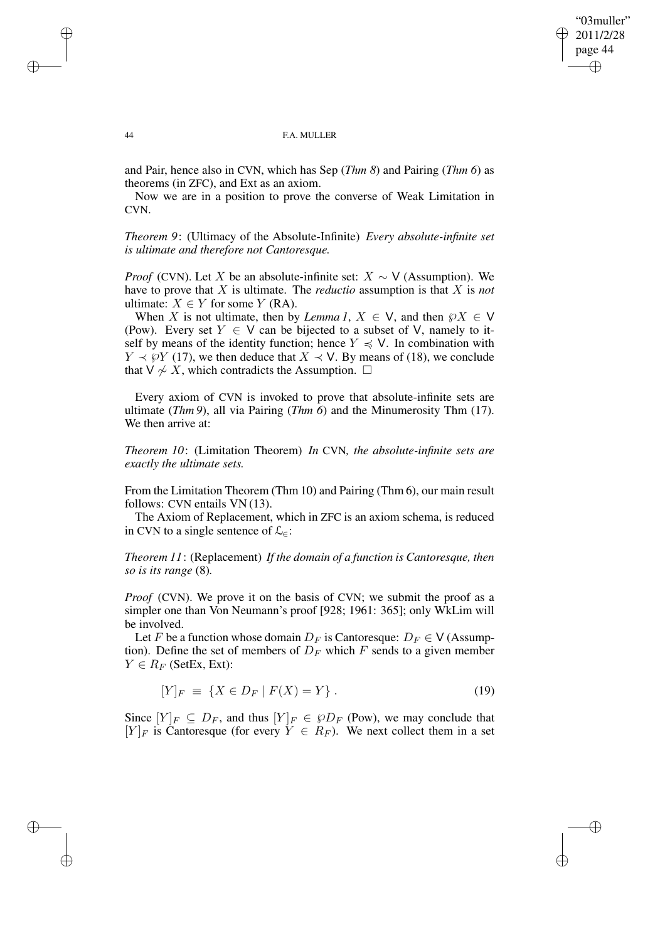✐

#### 44 F.A. MULLER

and Pair, hence also in CVN, which has Sep (*Thm 8*) and Pairing (*Thm 6*) as theorems (in ZFC), and Ext as an axiom.

Now we are in a position to prove the converse of Weak Limitation in CVN.

*Theorem 9*: (Ultimacy of the Absolute-Infinite) *Every absolute-infinite set is ultimate and therefore not Cantoresque.*

*Proof* (CVN). Let X be an absolute-infinite set:  $X \sim V$  (Assumption). We have to prove that X is ultimate. The *reductio* assumption is that X is *not* ultimate:  $X \in Y$  for some Y (RA).

When X is not ultimate, then by *Lemma 1*,  $X \in V$ , and then  $\wp X \in V$ (Pow). Every set  $Y \in V$  can be bijected to a subset of V, namely to itself by means of the identity function; hence  $Y \preccurlyeq V$ . In combination with  $Y \prec \varphi Y$  (17), we then deduce that  $X \prec V$ . By means of (18), we conclude that  $V \nsim X$ , which contradicts the Assumption.  $□$ 

Every axiom of CVN is invoked to prove that absolute-infinite sets are ultimate (*Thm 9*), all via Pairing (*Thm 6*) and the Minumerosity Thm (17). We then arrive at:

*Theorem 10*: (Limitation Theorem) *In* CVN*, the absolute-infinite sets are exactly the ultimate sets.*

From the Limitation Theorem (Thm 10) and Pairing (Thm 6), our main result follows: CVN entails VN (13).

The Axiom of Replacement, which in ZFC is an axiom schema, is reduced in CVN to a single sentence of  $\mathcal{L}_{\in}$ :

*Theorem 11*: (Replacement) *If the domain of a function is Cantoresque, then so is its range* (8)*.*

*Proof* (CVN). We prove it on the basis of CVN; we submit the proof as a simpler one than Von Neumann's proof [928; 1961: 365]; only WkLim will be involved.

Let F be a function whose domain  $D_F$  is Cantoresque:  $D_F \in V$  (Assumption). Define the set of members of  $D_F$  which F sends to a given member  $Y \in R_F$  (SetEx, Ext):

$$
[Y]_F \equiv \{ X \in D_F \mid F(X) = Y \}.
$$
\n(19)

Since  $[Y]_F \subseteq D_F$ , and thus  $[Y]_F \in \wp D_F$  (Pow), we may conclude that  $[Y]_F$  is Cantoresque (for every  $Y \in R_F$ ). We next collect them in a set

✐

✐

✐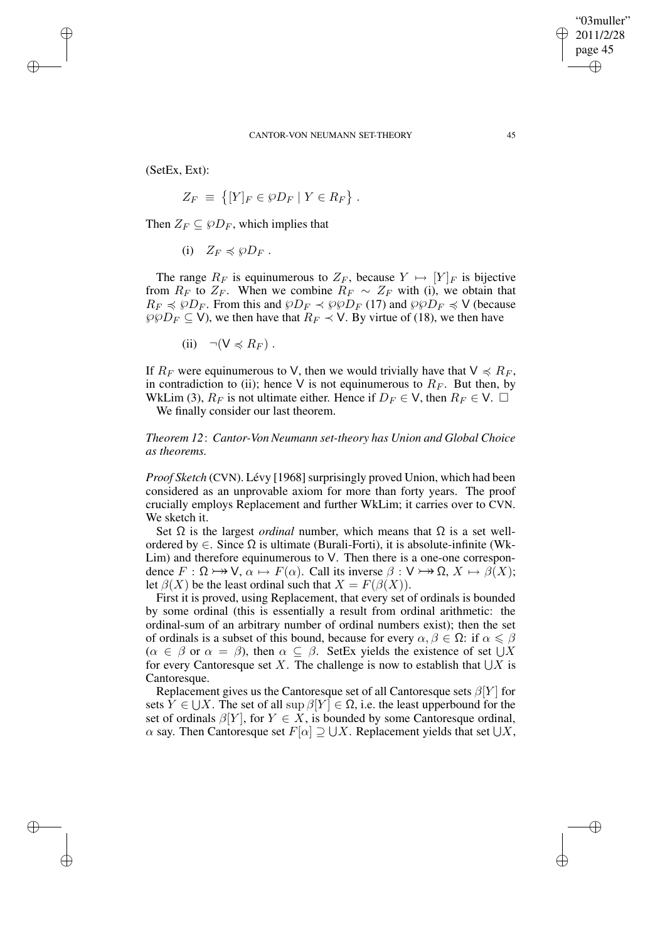(SetEx, Ext):

✐

✐

✐

✐

$$
Z_F \equiv \{ [Y]_F \in \wp D_F \mid Y \in R_F \} .
$$

Then  $Z_F \subseteq \varphi D_F$ , which implies that

(i)  $Z_F \preccurlyeq \wp D_F$ .

The range  $R_F$  is equinumerous to  $Z_F$ , because  $Y \mapsto [Y]_F$  is bijective from  $R_F$  to  $Z_F$ . When we combine  $R_F \sim Z_F$  with (i), we obtain that  $R_F \preccurlyeq \wp D_F$ . From this and  $\wp D_F \preccurlyeq \wp \wp D_F$  (17) and  $\wp \wp D_F \preccurlyeq V$  (because  $\wp \wp D_F \subseteq V$ , we then have that  $R_F \prec V$ . By virtue of (18), we then have

(ii)  $\neg(V \preccurlyeq R_F)$ .

If  $R_F$  were equinumerous to V, then we would trivially have that  $V \preccurlyeq R_F$ , in contradiction to (ii); hence V is not equinumerous to  $R_F$ . But then, by WkLim (3),  $R_F$  is not ultimate either. Hence if  $D_F \in V$ , then  $R_F \in V$ .  $\Box$ 

We finally consider our last theorem.

*Theorem 12*: *Cantor-Von Neumann set-theory has Union and Global Choice as theorems.*

*Proof Sketch* (CVN). Lévy [1968] surprisingly proved Union, which had been considered as an unprovable axiom for more than forty years. The proof crucially employs Replacement and further WkLim; it carries over to CVN. We sketch it.

Set  $\Omega$  is the largest *ordinal* number, which means that  $\Omega$  is a set wellordered by ∈. Since Ω is ultimate (Burali-Forti), it is absolute-infinite (Wk-Lim) and therefore equinumerous to V. Then there is a one-one correspondence  $F : \Omega \rightarrow V$ ,  $\alpha \mapsto F(\alpha)$ . Call its inverse  $\beta : V \rightarrow \Omega$ ,  $X \mapsto \beta(X)$ ; let  $\beta(X)$  be the least ordinal such that  $X = F(\beta(X))$ .

First it is proved, using Replacement, that every set of ordinals is bounded by some ordinal (this is essentially a result from ordinal arithmetic: the ordinal-sum of an arbitrary number of ordinal numbers exist); then the set of ordinals is a subset of this bound, because for every  $\alpha, \beta \in \Omega$ : if  $\alpha \leq \beta$  $(\alpha \in \beta \text{ or } \alpha = \beta)$ , then  $\alpha \subseteq \beta$ . SetEx yields the existence of set  $\bigcup X$ for every Cantoresque set X. The challenge is now to establish that  $\bigcup X$  is Cantoresque.

Replacement gives us the Cantoresque set of all Cantoresque sets  $\beta[Y]$  for sets  $\hat{Y} \in \bigcup X$ . The set of all sup  $\beta[Y] \in \Omega$ , i.e. the least upperbound for the set of ordinals  $\beta[Y]$ , for  $Y \in X$ , is bounded by some Cantoresque ordinal,  $\alpha$  say. Then Cantoresque set  $F[\alpha] \supseteq \bigcup X$ . Replacement yields that set  $\bigcup X$ ,

"03muller" 2011/2/28 page 45

✐

✐

✐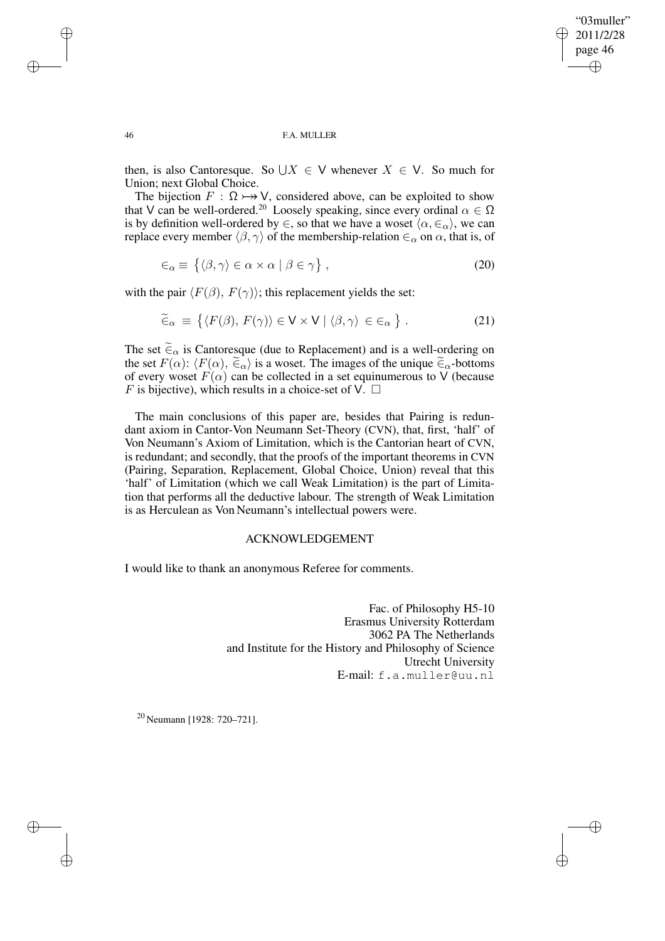✐

#### 46 F.A. MULLER

then, is also Cantoresque. So  $\bigcup X \in V$  whenever  $X \in V$ . So much for Union; next Global Choice.

The bijection  $F : \Omega \rightarrow V$ , considered above, can be exploited to show that V can be well-ordered.<sup>20</sup> Loosely speaking, since every ordinal  $\alpha \in \Omega$ is by definition well-ordered by  $\in$ , so that we have a woset  $\langle \alpha, \in_{\alpha} \rangle$ , we can replace every member  $\langle \beta, \gamma \rangle$  of the membership-relation  $\epsilon_\alpha$  on  $\alpha$ , that is, of

$$
\epsilon_{\alpha} \equiv \{ \langle \beta, \gamma \rangle \in \alpha \times \alpha \mid \beta \in \gamma \}, \tag{20}
$$

with the pair  $\langle F(\beta), F(\gamma) \rangle$ ; this replacement yields the set:

$$
\widetilde{\in}_{\alpha} \equiv \{ \langle F(\beta), F(\gamma) \rangle \in \mathsf{V} \times \mathsf{V} \mid \langle \beta, \gamma \rangle \in \in_{\alpha} \} . \tag{21}
$$

The set  $\tilde{\epsilon}_{\alpha}$  is Cantoresque (due to Replacement) and is a well-ordering on the set  $F(\alpha)$ :  $\langle F(\alpha), \tilde{\epsilon}_{\alpha} \rangle$  is a woset. The images of the unique  $\tilde{\epsilon}_{\alpha}$ -bottoms of every woset  $F(\alpha)$  can be collected in a set equinumerous to V (because F is bijective), which results in a choice-set of V.  $\Box$ 

The main conclusions of this paper are, besides that Pairing is redundant axiom in Cantor-Von Neumann Set-Theory (CVN), that, first, 'half' of Von Neumann's Axiom of Limitation, which is the Cantorian heart of CVN, is redundant; and secondly, that the proofs of the important theorems in CVN (Pairing, Separation, Replacement, Global Choice, Union) reveal that this 'half' of Limitation (which we call Weak Limitation) is the part of Limitation that performs all the deductive labour. The strength of Weak Limitation is as Herculean as Von Neumann's intellectual powers were.

## ACKNOWLEDGEMENT

I would like to thank an anonymous Referee for comments.

Fac. of Philosophy H5-10 Erasmus University Rotterdam 3062 PA The Netherlands and Institute for the History and Philosophy of Science Utrecht University E-mail: f.a.muller@uu.nl

<sup>20</sup> Neumann [1928: 720–721].

✐

✐

✐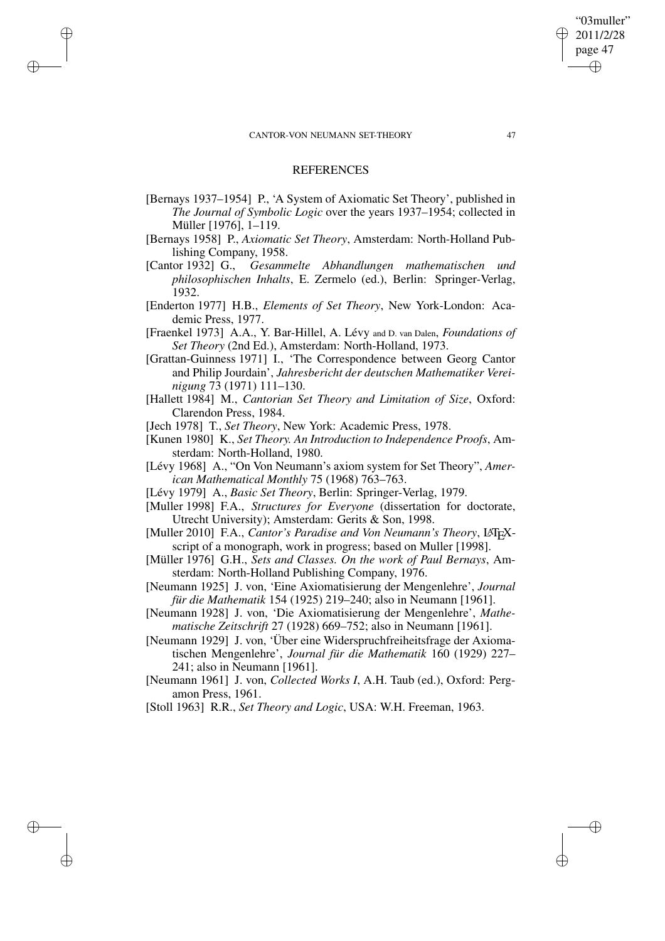✐

✐

✐

✐

## **REFERENCES**

- [Bernays 1937–1954] P., 'A System of Axiomatic Set Theory', published in *The Journal of Symbolic Logic* over the years 1937–1954; collected in Müller [1976], 1–119.
- [Bernays 1958] P., *Axiomatic Set Theory*, Amsterdam: North-Holland Publishing Company, 1958.
- [Cantor 1932] G., *Gesammelte Abhandlungen mathematischen und philosophischen Inhalts*, E. Zermelo (ed.), Berlin: Springer-Verlag, 1932.
- [Enderton 1977] H.B., *Elements of Set Theory*, New York-London: Academic Press, 1977.
- [Fraenkel 1973] A.A., Y. Bar-Hillel, A. Lévy and D. van Dalen, *Foundations of Set Theory* (2nd Ed.), Amsterdam: North-Holland, 1973.
- [Grattan-Guinness 1971] I., 'The Correspondence between Georg Cantor and Philip Jourdain', *Jahresbericht der deutschen Mathematiker Vereinigung* 73 (1971) 111–130.
- [Hallett 1984] M., *Cantorian Set Theory and Limitation of Size*, Oxford: Clarendon Press, 1984.
- [Jech 1978] T., *Set Theory*, New York: Academic Press, 1978.
- [Kunen 1980] K., *Set Theory. An Introduction to Independence Proofs*, Amsterdam: North-Holland, 1980.
- [Lévy 1968] A., "On Von Neumann's axiom system for Set Theory", *American Mathematical Monthly* 75 (1968) 763–763.
- [Lévy 1979] A., *Basic Set Theory*, Berlin: Springer-Verlag, 1979.
- [Muller 1998] F.A., *Structures for Everyone* (dissertation for doctorate, Utrecht University); Amsterdam: Gerits & Son, 1998.
- [Muller 2010] F.A., *Cantor's Paradise and Von Neumann's Theory*, LATEXscript of a monograph, work in progress; based on Muller [1998].
- [Müller 1976] G.H., *Sets and Classes. On the work of Paul Bernays*, Amsterdam: North-Holland Publishing Company, 1976.
- [Neumann 1925] J. von, 'Eine Axiomatisierung der Mengenlehre', *Journal für die Mathematik* 154 (1925) 219–240; also in Neumann [1961].
- [Neumann 1928] J. von, 'Die Axiomatisierung der Mengenlehre', *Mathematische Zeitschrift* 27 (1928) 669–752; also in Neumann [1961].
- [Neumann 1929] J. von, 'Über eine Widerspruchfreiheitsfrage der Axiomatischen Mengenlehre', *Journal für die Mathematik* 160 (1929) 227– 241; also in Neumann [1961].
- [Neumann 1961] J. von, *Collected Works I*, A.H. Taub (ed.), Oxford: Pergamon Press, 1961.
- [Stoll 1963] R.R., *Set Theory and Logic*, USA: W.H. Freeman, 1963.

"03muller" 2011/2/28 page 47

✐

✐

✐